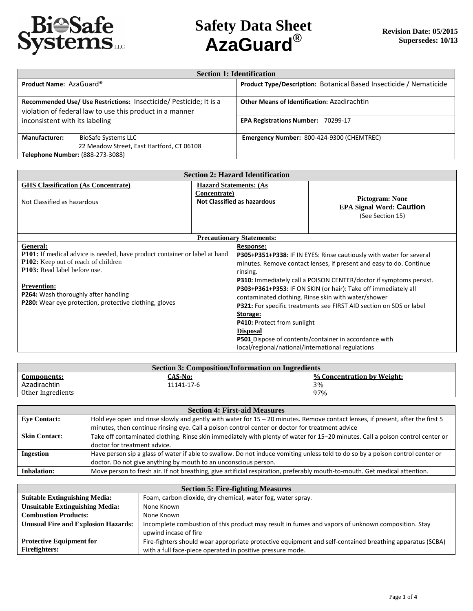

|                                                          | <b>Section 1: Identification</b>                                   |                                                                    |  |
|----------------------------------------------------------|--------------------------------------------------------------------|--------------------------------------------------------------------|--|
| Product Name: AzaGuard®                                  |                                                                    | Product Type/Description: Botanical Based Insecticide / Nematicide |  |
|                                                          | Recommended Use/ Use Restrictions: Insecticide/ Pesticide; It is a | <b>Other Means of Identification: Azadirachtin</b>                 |  |
| violation of federal law to use this product in a manner |                                                                    |                                                                    |  |
| inconsistent with its labeling                           |                                                                    | <b>EPA Registrations Number: 70299-17</b>                          |  |
|                                                          |                                                                    |                                                                    |  |
| <b>Manufacturer:</b>                                     | <b>BioSafe Systems LLC</b>                                         | Emergency Number: 800-424-9300 (CHEMTREC)                          |  |
|                                                          | 22 Meadow Street, East Hartford, CT 06108                          |                                                                    |  |
| Telephone Number: (888-273-3088)                         |                                                                    |                                                                    |  |

| <b>Section 2: Hazard Identification</b>                                                                                                                                                                                                                                                                    |                                                                                     |                                                                                                                                          |                                                                                                                                                                                                                                                                                                                                                                                                                                                                                  |
|------------------------------------------------------------------------------------------------------------------------------------------------------------------------------------------------------------------------------------------------------------------------------------------------------------|-------------------------------------------------------------------------------------|------------------------------------------------------------------------------------------------------------------------------------------|----------------------------------------------------------------------------------------------------------------------------------------------------------------------------------------------------------------------------------------------------------------------------------------------------------------------------------------------------------------------------------------------------------------------------------------------------------------------------------|
| <b>GHS Classification (As Concentrate)</b><br>Not Classified as hazardous                                                                                                                                                                                                                                  | <b>Hazard Statements: (As</b><br>Concentrate)<br><b>Not Classified as hazardous</b> |                                                                                                                                          | <b>Pictogram: None</b><br><b>EPA Signal Word: Caution</b><br>(See Section 15)                                                                                                                                                                                                                                                                                                                                                                                                    |
|                                                                                                                                                                                                                                                                                                            |                                                                                     | <b>Precautionary Statements:</b>                                                                                                         |                                                                                                                                                                                                                                                                                                                                                                                                                                                                                  |
| General:<br><b>P101:</b> If medical advice is needed, have product container or label at hand<br><b>P102:</b> Keep out of reach of children<br>P103: Read label before use.<br><b>Prevention:</b><br>P264: Wash thoroughly after handling<br><b>P280:</b> Wear eye protection, protective clothing, gloves |                                                                                     | Response:<br>rinsing.<br>Storage:<br>P410: Protect from sunlight<br><b>Disposal</b><br>local/regional/national/international regulations | P305+P351+P338: IF IN EYES: Rinse cautiously with water for several<br>minutes. Remove contact lenses, if present and easy to do. Continue<br><b>P310:</b> Immediately call a POISON CENTER/doctor if symptoms persist.<br>P303+P361+P353: IF ON SKIN (or hair): Take off immediately all<br>contaminated clothing. Rinse skin with water/shower<br>P321: For specific treatments see FIRST AID section on SDS or label<br>P501 Dispose of contents/container in accordance with |

| Section 3: Composition/Information on Ingredients |            |                            |
|---------------------------------------------------|------------|----------------------------|
| <b>Components:</b>                                | CAS-No:    | % Concentration by Weight: |
| Azadirachtin                                      | 11141-17-6 | 3%                         |
| Other Ingredients                                 |            | 97%                        |

| <b>Section 4: First-aid Measures</b> |                                                                                                                                |  |
|--------------------------------------|--------------------------------------------------------------------------------------------------------------------------------|--|
| <b>Eve Contact:</b>                  | Hold eye open and rinse slowly and gently with water for 15 - 20 minutes. Remove contact lenses, if present, after the first 5 |  |
|                                      | minutes, then continue rinsing eye. Call a poison control center or doctor for treatment advice                                |  |
| <b>Skin Contact:</b>                 | Take off contaminated clothing. Rinse skin immediately with plenty of water for 15-20 minutes. Call a poison control center or |  |
|                                      | doctor for treatment advice.                                                                                                   |  |
| <b>Ingestion</b>                     | Have person sip a glass of water if able to swallow. Do not induce vomiting unless told to do so by a poison control center or |  |
|                                      | doctor. Do not give anything by mouth to an unconscious person.                                                                |  |
| <b>Inhalation:</b>                   | Move person to fresh air. If not breathing, give artificial respiration, preferably mouth-to-mouth. Get medical attention.     |  |

| <b>Section 5: Fire-fighting Measures</b>   |                                                                                                          |  |
|--------------------------------------------|----------------------------------------------------------------------------------------------------------|--|
| <b>Suitable Extinguishing Media:</b>       | Foam, carbon dioxide, dry chemical, water fog, water spray.                                              |  |
| <b>Unsuitable Extinguishing Media:</b>     | None Known                                                                                               |  |
| <b>Combustion Products:</b>                | None Known                                                                                               |  |
| <b>Unusual Fire and Explosion Hazards:</b> | Incomplete combustion of this product may result in fumes and vapors of unknown composition. Stay        |  |
|                                            | upwind incase of fire                                                                                    |  |
| <b>Protective Equipment for</b>            | Fire-fighters should wear appropriate protective equipment and self-contained breathing apparatus (SCBA) |  |
| Firefighters:                              | with a full face-piece operated in positive pressure mode.                                               |  |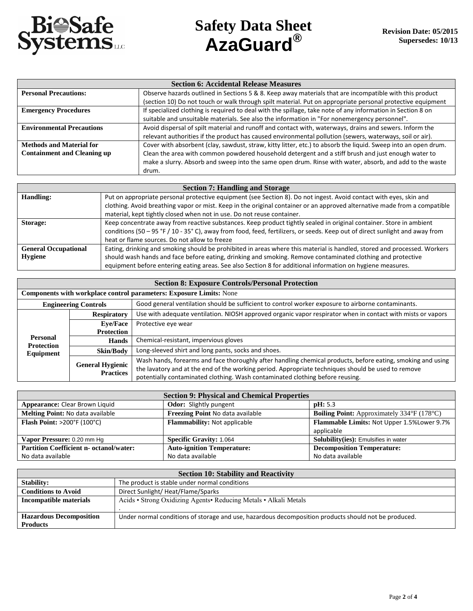

| <b>Section 6: Accidental Release Measures</b> |                                                                                                                |  |
|-----------------------------------------------|----------------------------------------------------------------------------------------------------------------|--|
| <b>Personal Precautions:</b>                  | Observe hazards outlined in Sections 5 & 8. Keep away materials that are incompatible with this product        |  |
|                                               | (section 10) Do not touch or walk through spilt material. Put on appropriate personal protective equipment     |  |
| <b>Emergency Procedures</b>                   | If specialized clothing is required to deal with the spillage, take note of any information in Section 8 on    |  |
|                                               | suitable and unsuitable materials. See also the information in "For nonemergency personnel".                   |  |
| <b>Environmental Precautions</b>              | Avoid dispersal of spilt material and runoff and contact with, waterways, drains and sewers. Inform the        |  |
|                                               | relevant authorities if the product has caused environmental pollution (sewers, waterways, soil or air).       |  |
| <b>Methods and Material for</b>               | Cover with absorbent (clay, sawdust, straw, kitty litter, etc.) to absorb the liquid. Sweep into an open drum. |  |
| <b>Containment and Cleaning up</b>            | Clean the area with common powdered household detergent and a stiff brush and just enough water to             |  |
|                                               | make a slurry. Absorb and sweep into the same open drum. Rinse with water, absorb, and add to the waste        |  |
|                                               | drum.                                                                                                          |  |

| <b>Section 7: Handling and Storage</b> |                                                                                                                             |  |
|----------------------------------------|-----------------------------------------------------------------------------------------------------------------------------|--|
| Handling:                              | Put on appropriate personal protective equipment (see Section 8). Do not ingest. Avoid contact with eyes, skin and          |  |
|                                        | clothing. Avoid breathing vapor or mist. Keep in the original container or an approved alternative made from a compatible   |  |
|                                        | material, kept tightly closed when not in use. Do not reuse container.                                                      |  |
| Storage:                               | Keep concentrate away from reactive substances. Keep product tightly sealed in original container. Store in ambient         |  |
|                                        | conditions (50 - 95 °F / 10 - 35°C), away from food, feed, fertilizers, or seeds. Keep out of direct sunlight and away from |  |
|                                        | heat or flame sources. Do not allow to freeze                                                                               |  |
| <b>General Occupational</b>            | Eating, drinking and smoking should be prohibited in areas where this material is handled, stored and processed. Workers    |  |
| <b>Hygiene</b>                         | should wash hands and face before eating, drinking and smoking. Remove contaminated clothing and protective                 |  |
|                                        | equipment before entering eating areas. See also Section 8 for additional information on hygiene measures.                  |  |

| <b>Section 8: Exposure Controls/Personal Protection</b>                                                                           |                                                                     |                                                                                                                                                                                                                   |  |
|-----------------------------------------------------------------------------------------------------------------------------------|---------------------------------------------------------------------|-------------------------------------------------------------------------------------------------------------------------------------------------------------------------------------------------------------------|--|
|                                                                                                                                   | Components with workplace control parameters: Exposure Limits: None |                                                                                                                                                                                                                   |  |
| Good general ventilation should be sufficient to control worker exposure to airborne contaminants.<br><b>Engineering Controls</b> |                                                                     |                                                                                                                                                                                                                   |  |
|                                                                                                                                   | <b>Respiratory</b>                                                  | Use with adequate ventilation. NIOSH approved organic vapor respirator when in contact with mists or vapors                                                                                                       |  |
|                                                                                                                                   | <b>Eve/Face</b>                                                     | Protective eye wear                                                                                                                                                                                               |  |
| <b>Protection</b>                                                                                                                 |                                                                     |                                                                                                                                                                                                                   |  |
| <b>Personal</b><br><b>Protection</b>                                                                                              | <b>Hands</b>                                                        | Chemical-resistant, impervious gloves                                                                                                                                                                             |  |
| Equipment                                                                                                                         | Skin/Body                                                           | Long-sleeved shirt and long pants, socks and shoes.                                                                                                                                                               |  |
|                                                                                                                                   | <b>General Hygienic</b>                                             | Wash hands, forearms and face thoroughly after handling chemical products, before eating, smoking and using<br>the lavatory and at the end of the working period. Appropriate techniques should be used to remove |  |
|                                                                                                                                   | <b>Practices</b>                                                    | potentially contaminated clothing. Wash contaminated clothing before reusing.                                                                                                                                     |  |

| <b>Section 9: Physical and Chemical Properties</b> |                                     |                                                   |  |
|----------------------------------------------------|-------------------------------------|---------------------------------------------------|--|
| Appearance: Clear Brown Liquid                     | <b>Odor:</b> Slightly pungent       | $\mathbf{p}$ H: 5.3                               |  |
| Melting Point: No data available                   | Freezing Point No data available    | <b>Boiling Point:</b> Approximately 334°F (178°C) |  |
| Flash Point: >200°F (100°C)                        | <b>Flammability:</b> Not applicable | Flammable Limits: Not Upper 1.5% Lower 9.7%       |  |
|                                                    |                                     | applicable                                        |  |
| Vapor Pressure: 0.20 mm Hg                         | <b>Specific Gravity: 1.064</b>      | Solubility(ies): Emulsifies in water              |  |
| <b>Partition Coefficient n- octanol/water:</b>     | <b>Auto-ignition Temperature:</b>   | <b>Decomposition Temperature:</b>                 |  |
| No data available                                  | No data available                   | No data available                                 |  |

| <b>Section 10: Stability and Reactivity</b>                                                 |                                                                                                      |  |
|---------------------------------------------------------------------------------------------|------------------------------------------------------------------------------------------------------|--|
| <b>Stability:</b>                                                                           | The product is stable under normal conditions                                                        |  |
| <b>Conditions to Avoid</b>                                                                  | Direct Sunlight/Heat/Flame/Sparks                                                                    |  |
| Acids • Strong Oxidizing Agents • Reducing Metals • Alkali Metals<br>Incompatible materials |                                                                                                      |  |
|                                                                                             |                                                                                                      |  |
| <b>Hazardous Decomposition</b>                                                              | Under normal conditions of storage and use, hazardous decomposition products should not be produced. |  |
| <b>Products</b>                                                                             |                                                                                                      |  |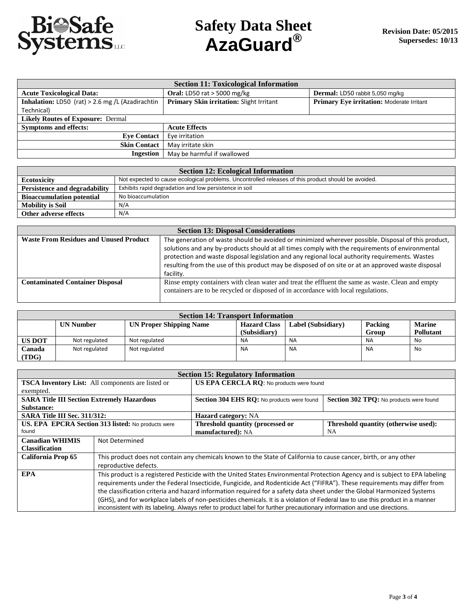

| <b>Section 11: Toxicological Information</b>     |                                          |                                           |  |
|--------------------------------------------------|------------------------------------------|-------------------------------------------|--|
| <b>Acute Toxicological Data:</b>                 | <b>Oral: LD50 rat &gt; 5000 mg/kg</b>    | Dermal: LD50 rabbit 5,050 mg/kg           |  |
| Inhalation: LD50 (rat) > 2.6 mg /L (Azadirachtin | Primary Skin irritation: Slight Irritant | Primary Eye irritation: Moderate Irritant |  |
| Technical)                                       |                                          |                                           |  |
| <b>Likely Routes of Exposure: Dermal</b>         |                                          |                                           |  |
| <b>Symptoms and effects:</b>                     | <b>Acute Effects</b>                     |                                           |  |
| <b>Eve Contact</b>                               | Eye irritation                           |                                           |  |
| <b>Skin Contact</b>                              | May irritate skin                        |                                           |  |
| Ingestion                                        | May be harmful if swallowed              |                                           |  |

| <b>Section 12: Ecological Information</b>                                               |                                                                                                     |  |
|-----------------------------------------------------------------------------------------|-----------------------------------------------------------------------------------------------------|--|
| <b>Ecotoxicity</b>                                                                      | Not expected to cause ecological problems. Uncontrolled releases of this product should be avoided. |  |
| Exhibits rapid degradation and low persistence in soil<br>Persistence and degradability |                                                                                                     |  |
| No bioaccumulation<br><b>Bioaccumulation potential</b>                                  |                                                                                                     |  |
| <b>Mobility is Soil</b>                                                                 | N/A                                                                                                 |  |
| Other adverse effects                                                                   | N/A                                                                                                 |  |

| <b>Section 13: Disposal Considerations</b>    |                                                                                                                                                                                                                                                                                                                                                                                                                 |  |  |  |  |
|-----------------------------------------------|-----------------------------------------------------------------------------------------------------------------------------------------------------------------------------------------------------------------------------------------------------------------------------------------------------------------------------------------------------------------------------------------------------------------|--|--|--|--|
| <b>Waste From Residues and Unused Product</b> | The generation of waste should be avoided or minimized wherever possible. Disposal of this product,<br>solutions and any by-products should at all times comply with the requirements of environmental<br>protection and waste disposal legislation and any regional local authority requirements. Wastes<br>resulting from the use of this product may be disposed of on site or at an approved waste disposal |  |  |  |  |
|                                               | facility.                                                                                                                                                                                                                                                                                                                                                                                                       |  |  |  |  |
| <b>Contaminated Container Disposal</b>        | Rinse empty containers with clean water and treat the effluent the same as waste. Clean and empty<br>containers are to be recycled or disposed of in accordance with local regulations.                                                                                                                                                                                                                         |  |  |  |  |

| <b>Section 14: Transport Information</b> |                  |                                |                     |                    |           |                  |  |  |
|------------------------------------------|------------------|--------------------------------|---------------------|--------------------|-----------|------------------|--|--|
|                                          | <b>UN Number</b> | <b>UN Proper Shipping Name</b> | <b>Hazard Class</b> | Label (Subsidiary) | Packing   | <b>Marine</b>    |  |  |
|                                          |                  |                                | (Subsidiary)        |                    | Group     | <b>Pollutant</b> |  |  |
| <b>US DOT</b>                            | Not regulated    | Not regulated                  | <b>NA</b>           | <b>NA</b>          | NA        | <b>No</b>        |  |  |
| Canada<br>(TDG)                          | Not regulated    | Not regulated                  | <b>NA</b>           | <b>NA</b>          | <b>NA</b> | <b>No</b>        |  |  |

| <b>Section 15: Regulatory Information</b>                |                                                                                                                               |                                            |                                         |  |  |  |  |
|----------------------------------------------------------|-------------------------------------------------------------------------------------------------------------------------------|--------------------------------------------|-----------------------------------------|--|--|--|--|
| <b>TSCA Inventory List:</b> All components are listed or |                                                                                                                               | US EPA CERCLA RQ: No products were found   |                                         |  |  |  |  |
| exempted.                                                |                                                                                                                               |                                            |                                         |  |  |  |  |
| <b>SARA Title III Section Extremely Hazardous</b>        |                                                                                                                               | Section 304 EHS RO: No products were found | Section 302 TPQ: No products were found |  |  |  |  |
| Substance:                                               |                                                                                                                               |                                            |                                         |  |  |  |  |
| SARA Title III Sec. 311/312:                             |                                                                                                                               | Hazard category: NA                        |                                         |  |  |  |  |
| US. EPA EPCRA Section 313 listed: No products were       |                                                                                                                               | Threshold quantity (processed or           | Threshold quantity (otherwise used):    |  |  |  |  |
| found                                                    |                                                                                                                               | manufactured): NA                          | NA                                      |  |  |  |  |
| <b>Canadian WHIMIS</b>                                   | Not Determined                                                                                                                |                                            |                                         |  |  |  |  |
| <b>Classification</b>                                    |                                                                                                                               |                                            |                                         |  |  |  |  |
| California Prop 65                                       | This product does not contain any chemicals known to the State of California to cause cancer, birth, or any other             |                                            |                                         |  |  |  |  |
|                                                          | reproductive defects.                                                                                                         |                                            |                                         |  |  |  |  |
| <b>EPA</b>                                               | This product is a registered Pesticide with the United States Environmental Protection Agency and is subject to EPA labeling  |                                            |                                         |  |  |  |  |
|                                                          | requirements under the Federal Insecticide, Fungicide, and Rodenticide Act ("FIFRA"). These requirements may differ from      |                                            |                                         |  |  |  |  |
|                                                          | the classification criteria and hazard information required for a safety data sheet under the Global Harmonized Systems       |                                            |                                         |  |  |  |  |
|                                                          | (GHS), and for workplace labels of non-pesticides chemicals. It is a violation of Federal law to use this product in a manner |                                            |                                         |  |  |  |  |
|                                                          | inconsistent with its labeling. Always refer to product label for further precautionary information and use directions.       |                                            |                                         |  |  |  |  |